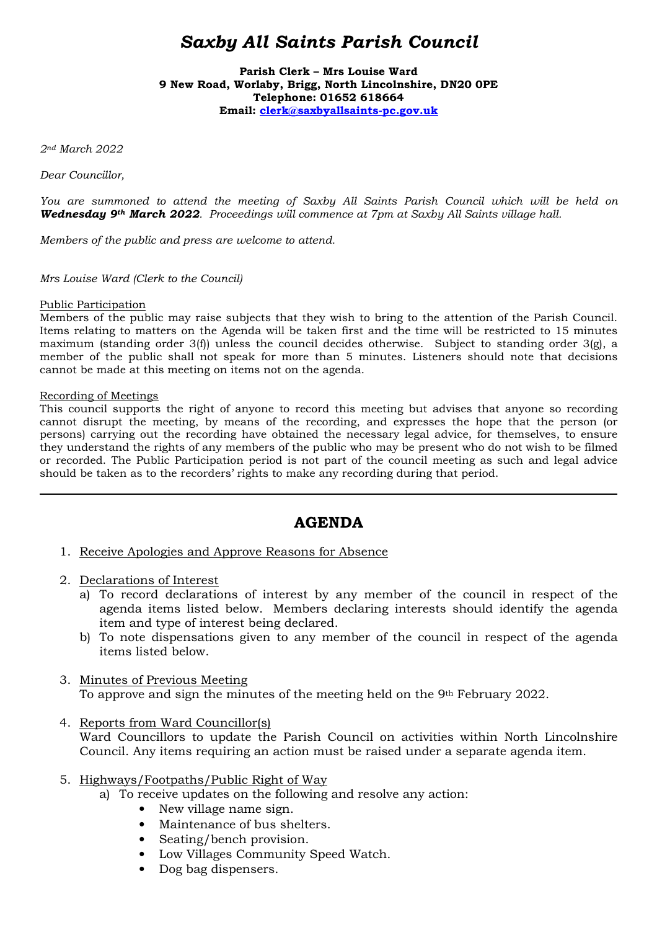# *Saxby All Saints Parish Council*

**Parish Clerk – Mrs Louise Ward 9 New Road, Worlaby, Brigg, North Lincolnshire, DN20 0PE Telephone: 01652 618664 Email: clerk@saxbyallsaints-pc.gov.uk**

*2nd March 2022* 

*Dear Councillor,* 

*You are summoned to attend the meeting of Saxby All Saints Parish Council which will be held on Wednesday 9th March 2022. Proceedings will commence at 7pm at Saxby All Saints village hall.* 

*Members of the public and press are welcome to attend.* 

*Mrs Louise Ward (Clerk to the Council)* 

#### Public Participation

Members of the public may raise subjects that they wish to bring to the attention of the Parish Council. Items relating to matters on the Agenda will be taken first and the time will be restricted to 15 minutes maximum (standing order 3(f)) unless the council decides otherwise. Subject to standing order  $3(g)$ , a member of the public shall not speak for more than 5 minutes. Listeners should note that decisions cannot be made at this meeting on items not on the agenda.

#### Recording of Meetings

 $\overline{a}$ 

This council supports the right of anyone to record this meeting but advises that anyone so recording cannot disrupt the meeting, by means of the recording, and expresses the hope that the person (or persons) carrying out the recording have obtained the necessary legal advice, for themselves, to ensure they understand the rights of any members of the public who may be present who do not wish to be filmed or recorded. The Public Participation period is not part of the council meeting as such and legal advice should be taken as to the recorders' rights to make any recording during that period.

## **AGENDA**

- 1. Receive Apologies and Approve Reasons for Absence
- 2. Declarations of Interest
	- a) To record declarations of interest by any member of the council in respect of the agenda items listed below. Members declaring interests should identify the agenda item and type of interest being declared.
	- b) To note dispensations given to any member of the council in respect of the agenda items listed below.

## 3. Minutes of Previous Meeting

To approve and sign the minutes of the meeting held on the 9th February 2022.

- 4. Reports from Ward Councillor(s) Ward Councillors to update the Parish Council on activities within North Lincolnshire Council. Any items requiring an action must be raised under a separate agenda item.
- 5. Highways/Footpaths/Public Right of Way
	- a) To receive updates on the following and resolve any action:
		- New village name sign.
		- Maintenance of bus shelters.
		- Seating/bench provision.
		- Low Villages Community Speed Watch.
		- Dog bag dispensers.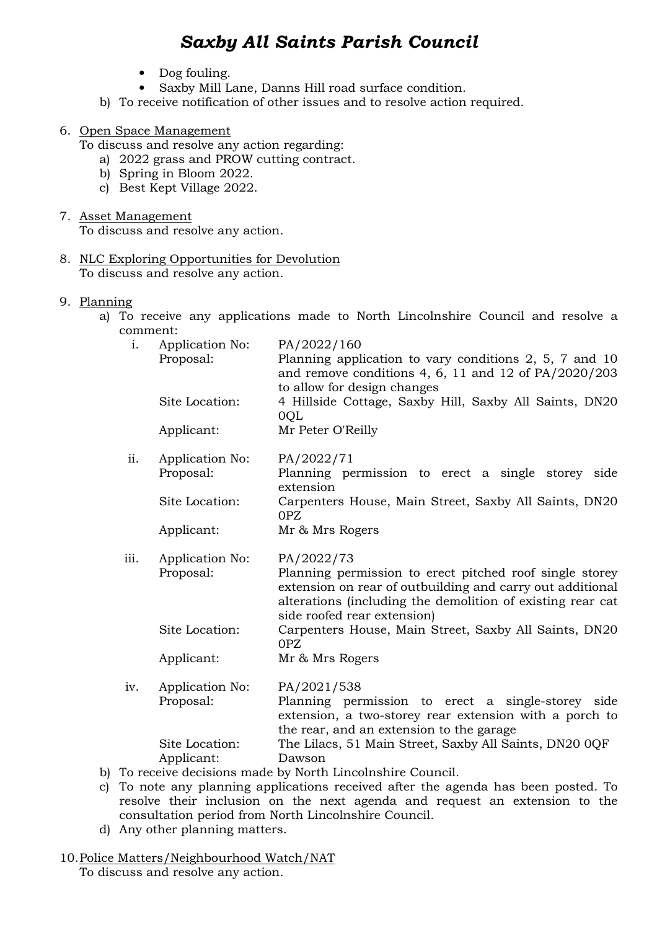# *Saxby All Saints Parish Council*

- Dog fouling.
- Saxby Mill Lane, Danns Hill road surface condition.
- b) To receive notification of other issues and to resolve action required.

### 6. Open Space Management

To discuss and resolve any action regarding:

- a) 2022 grass and PROW cutting contract.
- b) Spring in Bloom 2022.
- c) Best Kept Village 2022.
- 7. Asset Management

To discuss and resolve any action.

- 8. NLC Exploring Opportunities for Devolution To discuss and resolve any action.
- 9. Planning
	- a) To receive any applications made to North Lincolnshire Council and resolve a comment:

| Planning application to vary conditions $2, 5, 7$ and $10$<br>and remove conditions 4, 6, 11 and 12 of $PA/2020/203$                                                                                              |
|-------------------------------------------------------------------------------------------------------------------------------------------------------------------------------------------------------------------|
| to allow for design changes<br>4 Hillside Cottage, Saxby Hill, Saxby All Saints, DN20                                                                                                                             |
| Mr Peter O'Reilly                                                                                                                                                                                                 |
| Planning permission to erect a single storey side                                                                                                                                                                 |
| Carpenters House, Main Street, Saxby All Saints, DN20                                                                                                                                                             |
| Mr & Mrs Rogers                                                                                                                                                                                                   |
| Planning permission to erect pitched roof single storey<br>extension on rear of outbuilding and carry out additional<br>alterations (including the demolition of existing rear cat<br>side roofed rear extension) |
| Carpenters House, Main Street, Saxby All Saints, DN20                                                                                                                                                             |
| Mr & Mrs Rogers                                                                                                                                                                                                   |
| PA/2021/538<br>Planning permission to erect a single-storey side<br>extension, a two-storey rear extension with a porch to<br>the rear, and an extension to the garage                                            |
| The Lilacs, 51 Main Street, Saxby All Saints, DN20 0QF<br>To receive decisions made by North Lincolnshire Council.                                                                                                |
|                                                                                                                                                                                                                   |

- b) To receive decisions made b
- c) To note any planning applications received after the agenda has been posted. To resolve their inclusion on the next agenda and request an extension to the consultation period from North Lincolnshire Council.
- d) Any other planning matters.

#### 10.Police Matters/Neighbourhood Watch/NAT

To discuss and resolve any action.